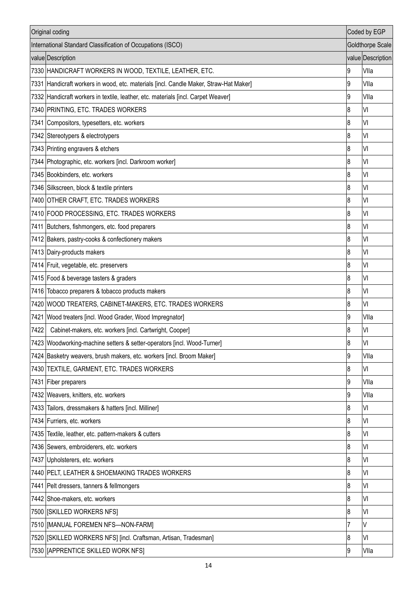## **ASIAN BAROMETER SURVEY OF DEMOCRACY, GOVERNANCE AND DEVELOPMENT**

**Note:** (NEW): Added or revised item [GBS ] : Global Barometer Module Interview No.

**INTRODUCTION**: Good morning/afternoon/evening. I am \_\_\_ from [name of institution]. We are conducting a public opinion survey in your area today. We are doing research on the views of citizens in [country] about how the country is governed and how the economy is managed. Every person over the age of 18 in our country has an equal chance of being included in this study. Your household has been chosen by chance. We would like you to answer questions about your personal views. The interview will take about 60 minutes. We will not record your name or any identifying information about you on the questionnaire. So no one will know who gave which answers to our questions. There is no risk to you in participating in the survey. There is also no benefit to you in participating in the survey. But if you answer our questions, you will help us understand how the public feels about issues facing the country today. Your participation in the survey is voluntary. If there are any questions you don't want to answer you don't have to answer them. And you can stop participating in the survey at any time. If you have any questions about the survey in the future, here is a card with the phone number of a person whom you can call at our organization's headquarters. He/she can answer any questions that you might have. Your assistance will be very much appreciated. Are you willing to start answering our questions?

## A. ECONOMIC EVALUATIONS

| 1. | How would you rate the overall economic condition of our country<br>Is it  (SHOWCARD)? [GBS]<br>today?                               |  |
|----|--------------------------------------------------------------------------------------------------------------------------------------|--|
| 2. | How would you describe the change in the economic condition of<br>our country over the last few years? Is it  (SHOWCARD)? [GBS]      |  |
| 3. | What do you think will be the state of our country's economic<br>condition a few years from now? Will it be  (SHOWCARD)?<br>[GBS]    |  |
| 4. | As for your own family, how do you rate the economic situation of<br>your family today? Is it  (SHOWCARD)? [GBS]                     |  |
| 5. | How would you compare the current economic condition of your<br>family with what it was a few years ago? Is it  (SHOWCARD)?<br>[GBS] |  |
| 6. | What do you think the economic situation of your family will be a<br>few years from now? Will it be  (SHOWCARD)? [GBS]               |  |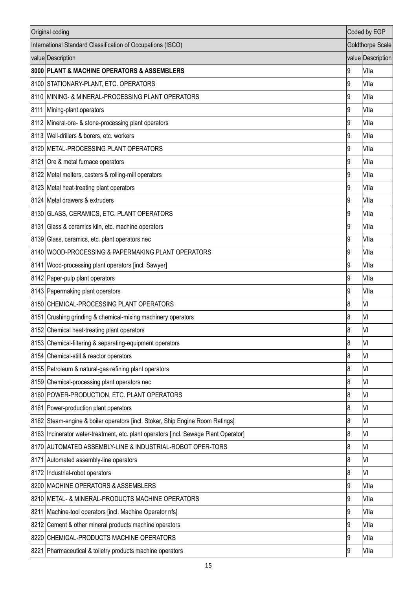# B. TRUST IN INSTITUTIONS

7-19 I'm going to name a number of institutions. For each one, please tell me how much trust do you have in them? Is it **a great deal of trust, quite a lot of trust, not very much trust not very much trust,** or **none at all**? (**Do not read:** Do not understand the question, Can't choose & Decline to answer)

|     | (SHOWCARD)                                                                                          | A Great<br><b>Deal</b><br>of Trust | Quite a<br>Lot of<br>Trust | <b>Not Very</b><br>Much<br>Trust | <b>None</b><br>At All | Do not<br>understand<br>the<br>question | Can't<br>choose | <b>Decline</b><br><u>to</u><br>answer |
|-----|-----------------------------------------------------------------------------------------------------|------------------------------------|----------------------------|----------------------------------|-----------------------|-----------------------------------------|-----------------|---------------------------------------|
| 7.  | (for presidential system)<br>The president<br>or Prime Minister (for parliamentary system)<br>[GBS] |                                    | $\overline{2}$             | 3                                | 4                     | 7                                       | 8               | 9                                     |
| 8.  | The courts [GBS]                                                                                    |                                    | $\overline{2}$             | 3                                | 4                     | 7                                       | 8               | 9                                     |
| 9.  | The national government [in capital city]<br><b>[GBS]</b>                                           |                                    | 2                          | 3                                | 4                     | 7                                       | 8               | 9                                     |
| 10. | Political parties [not any specific party] [GBS]                                                    |                                    | $\overline{2}$             | 3                                | 4                     | 7                                       | 8               | 9                                     |
| 11. | Parliament [GBS]                                                                                    |                                    | $\overline{2}$             | 3                                | 4                     | 7                                       | 8               | 9                                     |
| 12. | Civil service                                                                                       |                                    | $\overline{2}$             | 3                                | 4                     | 7                                       | 8               | 9                                     |
| 13. | The military (or armed forces) [GBS]                                                                |                                    | $\overline{2}$             | 3                                | 4                     | 7                                       | 8               | 9                                     |
| 14. | The police [GBS]                                                                                    |                                    | $\overline{2}$             | 3                                | 4                     | 7                                       | 8               | 9                                     |
| 15. | Local government [GBS]                                                                              |                                    | 2                          | 3                                | 4                     | 7                                       | 8               | 9                                     |
| 16. | Newspapers [GBS]                                                                                    |                                    | 2                          | 3                                | 4                     | 7                                       | 8               | 9                                     |
| 17. | Television [GBS]                                                                                    |                                    | $\overline{2}$             | 3                                | 4                     | 7                                       | 8               | 9                                     |
| 18. | The election commission [specify institution<br>by name] < Optional> [GBS]                          |                                    | $\overline{2}$             | 3                                | 4                     | 7                                       | 8               | 9                                     |
| 19. | Non-governmental organizations or NGOs<br><optional></optional>                                     |                                    | $\overline{2}$             | 3                                | 4                     | 7                                       | 8               | 9                                     |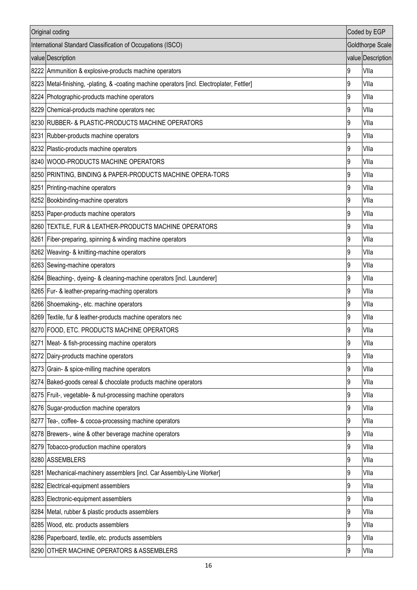# C. SOCIAL CAPITAL

20-22. On the following card, we have listed various types of organizations that many people belong to. Could you identity the three most important organizations or formal groups you belong to. You can also tell us the name the organizations that you belong to and we can identify the appropriate categories for you. (NEW) [GBS]

 $\Box$ 

| 20. First Organization:  | Code: $(01~18)$ |  |
|--------------------------|-----------------|--|
| 21. Second Organization: | Code: $(01~18)$ |  |
| 22. Third Organization:  | Code: $(01~18)$ |  |

| 23. | General speaking, would you say that "Most  |  |
|-----|---------------------------------------------|--|
|     | people can be trusted" or "that you must be |  |
|     | very careful in dealing with people"? [GBS] |  |
|     |                                             |  |
|     |                                             |  |
|     |                                             |  |
|     |                                             |  |

24. Do you think most people would try to take advantage of you if they got a chance, or would they try to be fair? (NEW)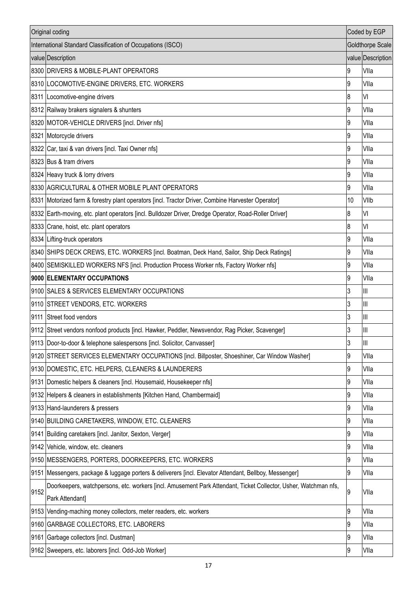25-27. How much trust do you have in each of the following types of people? (**Do not read:** Do not understand the question, Can't choose & Decline to answer)

|     | <u>(SHOWCARD)</u>              | A great<br><u>deal</u><br>of Trust | Quite a<br>lot of<br>Trust | Not very<br>much<br><b>Trust</b> | None at<br>all | Do not<br>understand<br>the<br>question | <u>Can't</u><br>choose | <b>Decline</b><br>to answer |
|-----|--------------------------------|------------------------------------|----------------------------|----------------------------------|----------------|-----------------------------------------|------------------------|-----------------------------|
| 25. | Your relatives [GBS]           |                                    |                            |                                  | 4              |                                         | 8                      | 9                           |
| 26. | Your neighbors [GBS]           |                                    |                            |                                  | 4              |                                         | 8                      | 9                           |
| 27. | Other people you interact with |                                    |                            |                                  | 4              |                                         | 8                      | 9                           |

- 28. On average, about how many people do you have contact with in a typical week day? We are interested in contact on a one-on-one basis, including everyone with whom you chat, talk, or discuss matters. This can be face to face, by telephone, by mail, or on the internet. Please include only people you know.
- 29. If you have a difficult problem to manage, are there people outside your household you can ask for help? (NEW)
- 30. When people outside your household have problems, do they come to you for help? (NEW)
- 31. If you had friends or co-workers whose opinions on politics differed from yours, would you have a hard time conversing with them? (NEW)

**[Note**: If the respondent indicates that he/she does not have any friends or co-workers holding differing views, then explain:

**"Even if the person listed does not actually exist, please answer how you imagine you would feel."]**

| [Do not read] Do not understand the question7 |  |
|-----------------------------------------------|--|
|                                               |  |
|                                               |  |
|                                               |  |
|                                               |  |
|                                               |  |
|                                               |  |
|                                               |  |
| [Do not read] Do not understand the question7 |  |
|                                               |  |
|                                               |  |
|                                               |  |
|                                               |  |
|                                               |  |
|                                               |  |
|                                               |  |
| [Do not read] Do not understand the question7 |  |
|                                               |  |
|                                               |  |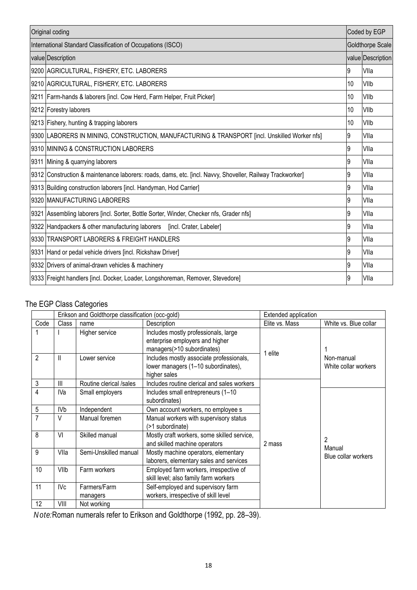### D. PARTICIPATION IN ELECTIONS

32. In talking to people about elections, we often find that a lot of people were not able to vote because they were away from home, they were sick or they just didn't have time. How about you? Did you vote in the election **[**the most recent national election, parliamentary or presidential**]** held in **[**year**]**?【**GBS**】

33. Which parties (or candidates for president if it was presidential race) did you vote for? [country-specific response grid]

\_\_\_\_\_\_\_\_\_\_\_\_\_\_\_\_\_\_\_\_\_\_\_\_\_\_\_\_\_\_\_\_\_\_\_\_\_\_\_\_\_\_\_\_\_\_\_\_\_\_\_\_\_\_\_\_\_\_\_\_\_\_\_\_\_\_\_\_

**[DO NOT READ. Instruction**: In a parliamentary election, if the respondent cannot associate the candidate he or she voted for with a particular party, the interviewer should take note and fill in the party for the respondent later.

33a. [**DO NOT READ. Instruction**: Based on the answer to Q33, please construct a new variable indicating if the respondent voted for the winning camp or losing camp. 1: Voted for the winning camp; 2: voted for the losing camp; 0: not applicable]

| 34-36. | Thinking about the national election in [year], did you                                           |                                     |
|--------|---------------------------------------------------------------------------------------------------|-------------------------------------|
| 34.    | attend a campaign meeting or rally?                                                               |                                     |
| 35.    | try to persuade others to vote for a certain candidate or party?                                  |                                     |
| 36.    | Did you do anything else to help out or work for a party or candidate<br>running in the election? |                                     |
| 37.    | On the whole, how free and fair would you say the last national election<br>was? (NEW) [GBS]      | Free and fair, with major problems3 |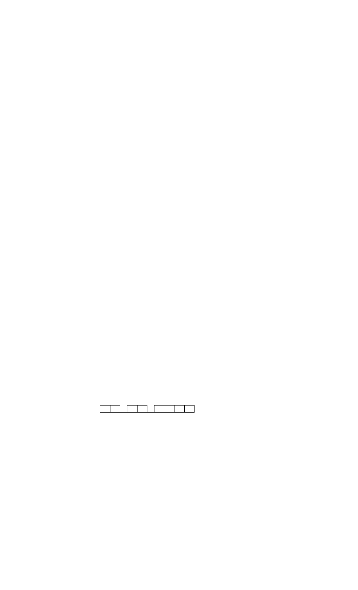# E. ACCESS TO PUBLIC SERVICE

38-41. Based on your experience, how easy or difficult is it to obtain the following services? Or have you never tried to get these services from government? (NEW) (**Do not read:** Can't choose & Decline to answer)

|                                                                    | <b>Verv Easy</b> | Easy | <b>Difficult</b> | <u>Very</u><br><b>Difficult</b> | <u>Never</u><br><b>Tried</b> | Can't<br>choose | <b>Decline</b><br>to answer |
|--------------------------------------------------------------------|------------------|------|------------------|---------------------------------|------------------------------|-----------------|-----------------------------|
| 38. An identity document (such as a birth certificate or passport) |                  |      |                  |                                 |                              |                 |                             |
| 39. A place in a public primary school for a child                 |                  | 3    | 2                |                                 | 5                            |                 | 9                           |
| 40. Medical treatment at a nearby clinic                           | 4                |      | 2                |                                 | 5                            |                 | 9                           |
| 41. Help from the police when you need it                          | 4                |      |                  |                                 | 5                            |                 | 9                           |

42. Generally speaking, how safe is living in this city/ town/ village – very safe, safe, unsafe or very unsafe?

### F. PSYCHOLOGICAL INVOLVEMENT

| 43. | How interested would you say you are in politics?                    |                                                |  |
|-----|----------------------------------------------------------------------|------------------------------------------------|--|
|     | (SHOWCARD) [GBS]                                                     |                                                |  |
|     |                                                                      |                                                |  |
|     |                                                                      |                                                |  |
|     |                                                                      |                                                |  |
|     |                                                                      |                                                |  |
| 44. | How often do you follow news about politics and government?          |                                                |  |
|     | (SHOWCARD)                                                           |                                                |  |
|     |                                                                      |                                                |  |
|     |                                                                      |                                                |  |
|     |                                                                      |                                                |  |
|     |                                                                      |                                                |  |
|     |                                                                      |                                                |  |
| 45. | How often do you use the internet?                                   |                                                |  |
|     |                                                                      |                                                |  |
|     |                                                                      |                                                |  |
|     |                                                                      |                                                |  |
|     |                                                                      |                                                |  |
|     |                                                                      |                                                |  |
|     |                                                                      | [Do not read]Do not understand the question  7 |  |
|     |                                                                      |                                                |  |
|     |                                                                      |                                                |  |
| 46. | When you get together with your family members or friends, how often |                                                |  |
|     | do you discuss political matters? [GBS]                              |                                                |  |
|     |                                                                      |                                                |  |
|     |                                                                      |                                                |  |
|     |                                                                      |                                                |  |
|     |                                                                      |                                                |  |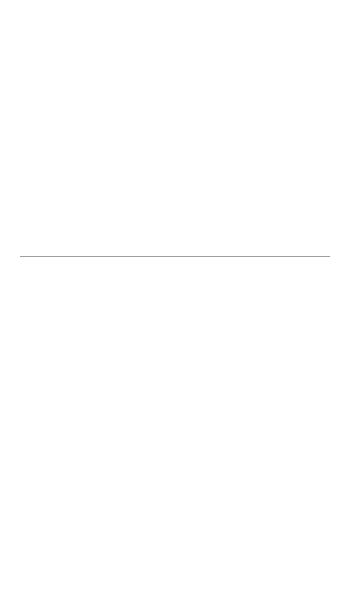## G. PARTISANSHIP

| 47. | Among the political parties listed here, which party if any do you feel |                            |  |
|-----|-------------------------------------------------------------------------|----------------------------|--|
|     | closest to?                                                             |                            |  |
|     | (ONE ANSWER ONLY& SHOWCARD)                                             |                            |  |
|     |                                                                         |                            |  |
|     | [Use two-digit code to cover all major parties in your country.]        |                            |  |
|     |                                                                         | <b>○GO TO INTRO OF Q49</b> |  |
| 48. | How close do you feel to (answer in Q47)? Is it very close,             |                            |  |
|     | somewhat close, or just a little close?                                 |                            |  |
|     |                                                                         |                            |  |
|     |                                                                         |                            |  |
|     |                                                                         |                            |  |

# H. TRADITIONALISM

49-63. Please tell me how you feel about the following statements. Would you say you **strongly agree**, **somewhat agree**, **somewhat disagree**, or **strongly disagree**? **(SHOWCARD)** (**Do not read:** Do not understand the question, Can't choose & Decline to answer)

|     |                                                                                                                                                                                      | <b>SA</b> | <b>SWA</b>     | <b>SWD</b> | <u>SD</u> | DU             | cc | DA |
|-----|--------------------------------------------------------------------------------------------------------------------------------------------------------------------------------------|-----------|----------------|------------|-----------|----------------|----|----|
| 49. | Most people are trustworthy? (NEW)                                                                                                                                                   | 1         | $\overline{2}$ | 3          | 4         | $\overline{7}$ | 8  | 9  |
| 50. | For the sake of the family, the individual should put his personal<br>interests second.                                                                                              |           | $\overline{2}$ | 3          | 4         | $\overline{7}$ | 8  | 9  |
| 51. | In a group, we should sacrifice our individual interest for the sake of the<br>group's collective interest. (NEW)                                                                    | 1         | $\overline{2}$ | 3          | 4         | 7              | 8  | 9  |
| 52. | For the sake of national interest, individual interest could be sacrificed.<br>(NEW)                                                                                                 | 1         | $\overline{2}$ | 3          | 4         | 7              | 8  | 9  |
| 53. | When dealing with others, developing a long-term relationship is more<br>important than securing one's immediate interest. (NEW)                                                     | 1         | $\overline{2}$ | 3          | 4         | $\overline{7}$ | 8  | 9  |
| 54. | When dealing with others, one should not only focus on immediate<br>interest but also plan for future. (NEW)                                                                         |           | $\overline{2}$ | 3          | 4         | $\overline{7}$ | 8  | 9  |
| 55. | Even if parents' demands are unreasonable, children still should do<br>what they ask.                                                                                                |           | $\overline{2}$ | 3          | 4         | 7              | 8  | 9  |
| 56. | When a mother-in-law and a daughter-in-law come into conflict, even if<br>the mother-in-law is in the wrong, the husband should still persuade his<br>wife to obey his mother. (NEW) | 1         | $\overline{2}$ | 3          | 4         | $\overline{7}$ | 8  | 9  |
| 57. | Being a student, one should not question the authority of their teacher.                                                                                                             | 1         | 2              | 3          | 4         | $\overline{7}$ | 8  | 9  |
| 58. | In a group, we should avoid open quarrel to preserve the harmony of<br>the group. (NEW)                                                                                              |           | $\overline{2}$ | 3          | 4         | $\overline{7}$ | 8  | 9  |
| 59. | Even if there is some disagreement with others, one should avoid the<br>conflict. (NEW)                                                                                              | 1         | $\overline{2}$ | 3          | 4         | $\overline{7}$ | 8  | 9  |
| 60. | A person should not insist on his own opinion if his co-workers disagree<br>with him.                                                                                                | 1         | $\overline{2}$ | 3          | 4         | 7              | 8  | 9  |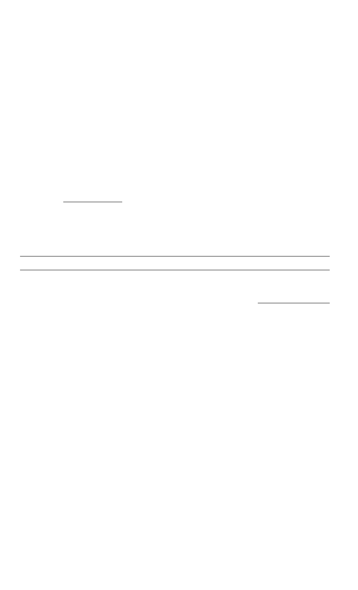| 61. | Wealth and poverty, success and failure are all determined by fate.<br>(NEW)                      |  | 1 2 3 4 7   |  |  |
|-----|---------------------------------------------------------------------------------------------------|--|-------------|--|--|
| 62. | If one could have only one child, it is more preferable to have a boy<br>than a girl. (NEW)       |  | 1 2 3 4 7 8 |  |  |
| 63. | When dealing with others, one should not be preoccupied with<br>temporary gains and losses. (NEW) |  | 1 2 3 4 7   |  |  |

## I. POLITICAL PARTICIPATION

64-68. In the past three (3) years, have you **never, once,** or **more than once** done the following because of personal, family, or neighborhood problems, or problems with government officials and policies? (**Do not read:** Can't choose & Decline to answer)

|     | (SHOWCARD)                                                               |      | <b>More</b><br>than | Never     |         |         |
|-----|--------------------------------------------------------------------------|------|---------------------|-----------|---------|---------|
| 64. | Contacted elected officials or legislative representatives at any level. | Once | once<br>2           | Done<br>0 | СC<br>8 | DA<br>9 |
|     | [GBS]                                                                    |      |                     |           |         |         |
| 65. | Contacted officials at higher level. < Optional>                         |      |                     | 0         | 8       | 9       |
| 66. | Contacted traditional leaders/community leaders. < Optional> [GBS]       |      |                     | 0         | 8       | 9       |
| 67. | Contacted other influential people outside the government. (NEW)         |      |                     |           | 8       | 9       |
| 68. | Contacted news media. (NEW) [GBS]                                        |      |                     |           | 8       | 9       |

69-72. Here is a list of actions that people sometimes take as citizens. For each of these, please tell me whether you, personally, have **never, once,** or **more than once** done any of these things during the past three years. (**Do not read:** Can't choose & Decline to answer)

|     | (SHOWCARD)                                                      | Once | <b>More</b><br>than<br>once | Never<br>Done | CС | DA |
|-----|-----------------------------------------------------------------|------|-----------------------------|---------------|----|----|
| 69. | Got together with others to try to resolve local problems (NEW) |      | 2                           |               | 8  |    |
| 70. | Got together with others to raise an issue or sign a petition   |      |                             | 0             | 8  | 9  |
| 71. | Attended a demonstration or protest march [GBS]                 |      |                             | 0             | 8  | 9  |
| 72. | Used force or violence for a political cause (NEW) [GBS]        |      |                             |               | 8  |    |

73. Thinking of whether you voted or not ever since you became eligible for voting, how would you describe yourself –have you voted in every election, voted in most elections, voted in some elections or hardly ever voted?

| [Do not read]Not applicable (eligible only once)0 |  |
|---------------------------------------------------|--|
|                                                   |  |
|                                                   |  |
|                                                   |  |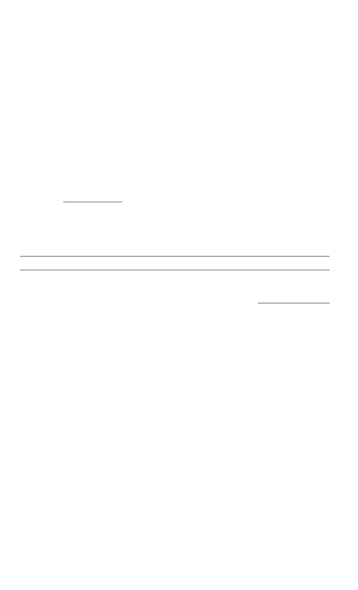# J. REGIME PREFERENCE

|              | 74-79. Let's talk for a moment about the kind of government you would like to have in this country, which of the followings statements do you agree<br>with most? Choose the first or the second statement. [Interviewer: Probe whether respondent strongly agrees or just agrees the chosen statement]<br>(SHOWCARD) (Do not read: Do not understand the question, Can't choose & Decline to answer) (NEW)                                                    |           |                |   |           |                |    |           |
|--------------|----------------------------------------------------------------------------------------------------------------------------------------------------------------------------------------------------------------------------------------------------------------------------------------------------------------------------------------------------------------------------------------------------------------------------------------------------------------|-----------|----------------|---|-----------|----------------|----|-----------|
|              | 74. Statement 1. Government leaders implement what voters want.<br>Statement 2. Government leaders do what they think is best for the people.(NEW)<br>(Code 7: Do not understand the question, Code 8: Can't choose, Code 9: Decline to answer)<br>74a. Do you strongly agree or just agree with the chosen statement?<br>1. Strongly agree<br>2. Agree                                                                                                        |           |                |   |           |                |    |           |
|              | 75. Statement 1. Government is our employee, the people should tell government what needs to be done.<br>Statement 2. The government is like parent, it should decide what is good for us. (NEW)<br>(Code 7: Do not understand the question, Code 8: Can't choose, Code 9: Decline to answer)<br>75a. Do you strongly agree or just agree with the chosen statement?<br>1. Strongly agree<br>2. Agree                                                          |           |                |   |           |                |    |           |
|              | 76. Statement 1. The media should have the right to publish news and ideas without government control.<br>Statement 2. The government should have the right to prevent the media from publishing things that might be politically destabilizing.<br>(NEW)<br>(Code 7: Do not understand the question, Code 8: Can't choose, Code 9: Decline to answer)<br>76a. Do you strongly agree or just agree with the chosen statement?<br>1. Strongly agree<br>2. Agree |           |                |   |           |                |    |           |
|              | 77. Statement 1. People should look after themselves and be primarily responsible for their own success in life.<br>Statement 2. The government should bear the main responsibility for taking care of the wellbeing of the people. (NEW)<br>(Code 7: Do not understand the question, Code 8: Can't choose, Code 9: Decline to answer)<br>77a. Do you strongly agree or just agree with the chosen statement?<br>1. Strongly agree<br>2. Agree                 |           |                |   |           |                |    |           |
|              | 78. Statement 1. Political leaders are chosen by the people through open and competitive elections.<br>Statement 2. Political leaders are chosen on the basis on their virtue and capability even without election. (NEW)<br>(Code 7: Do not understand the question, Code 8: Can't choose, Code 9: Decline to answer)<br>78a. Do you strongly agree or just agree with the chosen statement?<br>1. Strongly agree<br>2. Agree                                 |           |                |   |           |                |    |           |
|              | 79. Statement 1. Multiple parties compete to represent political interests.<br>Statement 2. One party represents the interests of all the people. (NEW)<br>(Code 7: Do not understand the question, Code 8: Can't choose, Code 9: Decline to answer)<br>79a. Do you strongly agree or just agree with the chosen statement?<br>1. Strongly agree<br>2. Agree                                                                                                   |           |                |   |           |                |    |           |
| $80-$<br>83. | Now I'd like to ask you about the kind of government that we have in our country. These questions are not about the current leaders, but<br>about our overall system, the way the government is set up in general, even though leaders might come and go. (This way of setting up the<br>battery is designed to direct respondents' attention to the regime instead of the incumbents.) Agree or disagree. (NEW)                                               |           |                |   |           |                |    |           |
|              |                                                                                                                                                                                                                                                                                                                                                                                                                                                                | <u>SA</u> | $\triangle$    | D | <u>SD</u> | <b>DU</b>      | cc | <u>DA</u> |
| 80.          | Over the long run, our system of government is capable of solving the<br>problems our country faces. (NEW)                                                                                                                                                                                                                                                                                                                                                     | 1         | $\overline{2}$ | 3 | 4         | $\overline{7}$ | 8  | 9         |
| 81.          | Thinking in general, I am proud of our system of government. (NEW)                                                                                                                                                                                                                                                                                                                                                                                             | 1         | $\overline{2}$ | 3 | 4         | $\overline{7}$ | 8  | 9         |

82. A system like ours, even if it runs into problems, deserves the people's support. (NEW)

1 2 3 4 7 8 9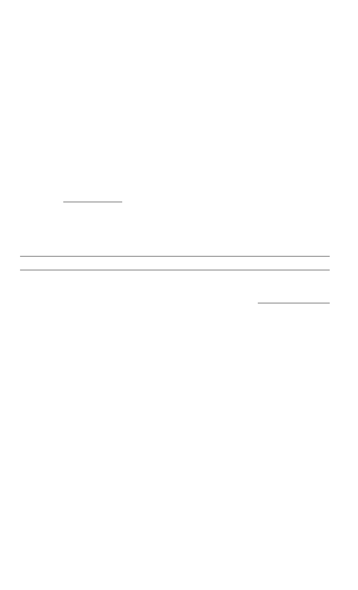- 83. I would rather live under our system of government than any other that I can think of. (NEW) 1 2 3 4 7 8 9
- 84. Compared with other systems in the world, would you say our system of government works fine as it is, needs minor change, needs major change, or should be replaced? (NEW)

| Should be replaced measurements and an anti- |  |
|----------------------------------------------|--|
|                                              |  |
|                                              |  |
|                                              |  |

#### K. MEANING OF DEMOCRACY【**GBS used the original design**】

#### 85- 88. Many things may be desirable, but not all of them are essential characteristics of democracy. If you have to choose only one from each four sets of statements that I am going to read, which one would you choose as the most essential characteristics of a democracy? (Please read out options 1 to 4) (SHOWCARD) (Do not read: Do not understand the question, Can't choose & Decline to answer) (NEW)

- 85. 1. Government narrows the gap between the rich and the poor.
	- 2. People choose the government leaders in free and fair election.
	- 3. Government does not waste any public money.
	- 4. People are free to express their political views openly. (NEW)

(Code 7: Do not understand the question, Code 8: Can't choose, Code 9: Decline to answer)

- 86. 1. The legislature has oversight over the government.
	- 2. Basic necessities, like food, clothes and shelter, are provided for all.
	- 3. People are free to organize political groups.
	- 4. Government provides people with quality public services. (NEW)

(Code 7: Do not understand the question, Code 8: Can't choose, Code 9: Decline to answer)

- 87. 1. Government ensures law and order.
	- 2. Media is free to criticize the things government does.
	- 3. Government ensures job opportunities for all.
	- 4. Multiple parties compete fairly in the election. (NEW)

(Code 7: Do not understand the question, Code 8: Can't choose, Code 9: Decline to answer)

- 88. 1. People have the freedom to take part in protests and demonstrations.
	- 2. Politics is clean and free of corruption.
	- 3. The court protects the ordinary people from the abuse of government power.
	- 4. People receive state aid if they are unemployed. (NEW)

(Code 7: Do not understand the question, Code 8: Can't choose, Code 9: Decline to answer)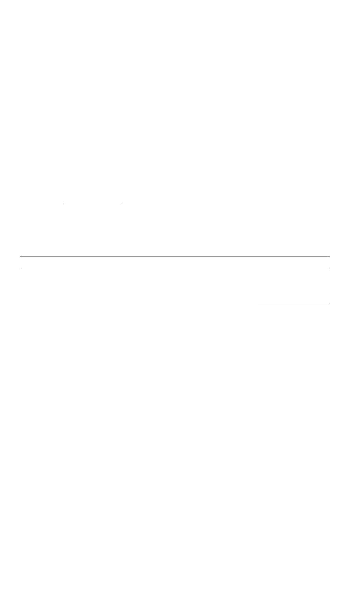### L. SATISFACTION WITH GOVERNMENT AND DEMOCRACY

| 89. | On the whole, how satisfied or dissatisfied are you with the way |                                   |  |
|-----|------------------------------------------------------------------|-----------------------------------|--|
|     | democracy works in [Country]. Are you ? (SHOWCARD) [GBS]         |                                   |  |
|     |                                                                  |                                   |  |
|     |                                                                  |                                   |  |
|     |                                                                  |                                   |  |
|     |                                                                  |                                   |  |
|     |                                                                  |                                   |  |
| 90. | In your opinion how much of a democracy is [Country Name]?       |                                   |  |
|     | (Read out options. Only one option to be chosen.)                |                                   |  |
|     |                                                                  | A democracy, with major problems3 |  |
|     |                                                                  |                                   |  |
|     |                                                                  |                                   |  |
|     |                                                                  |                                   |  |
|     |                                                                  |                                   |  |

91-93. Here is a scale: 1 means completely undemocratic and 10 means completely democratic. (SHOWCARD) (**Do not read:** Do not understand the question, Can't choose & Decline to answer)

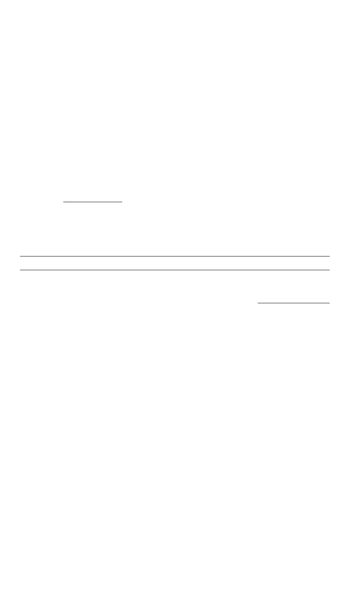

94. Here is a similar scale of 1 to 10 measuring the extent to which people think democracy is suitable for our country. If "1" means that democracy is completely unsuitable for **[**name of country**]** today and "10" means that it is completely suitable, where would you place our country today?【**GBS**】



95. How satisfied or dissatisfied are you with the **[**name of president, etc. ruling current**]** government? Are you …? (SHOWCARD)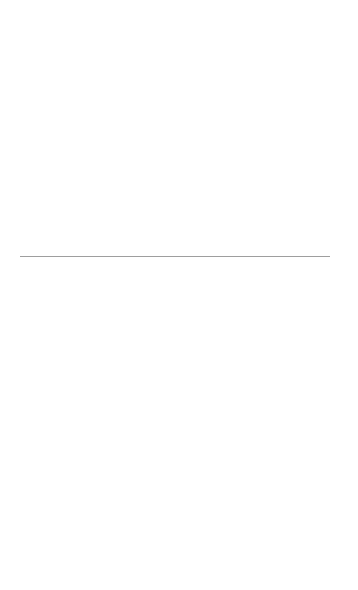#### M. MOST IMPORTANT PROBLEMS

96. In your opinion, what are the most important problems facing this country that government should address? *[Do not read options. Code from responses. Accept up to one answer. Country team could add extra response categories to fit the local context.]* **[Record Verbatim Answers and Then Use the Codes Below]** 

|  | 96. Response: |  |
|--|---------------|--|
|--|---------------|--|

| <b>Economics</b><br>Management of the economy<br>1<br>$\overline{2}$<br>Wages, incomes and salaries<br>3<br>Unemployment |
|--------------------------------------------------------------------------------------------------------------------------|
|                                                                                                                          |
|                                                                                                                          |
|                                                                                                                          |
|                                                                                                                          |
| $\overline{\mathbf{4}}$<br>Poverty/destitution                                                                           |
| 5<br>Rates and Taxes                                                                                                     |
| 6<br>Loans / credit                                                                                                      |
| Food / Agriculture                                                                                                       |
| $\overline{7}$<br>Farming/agriculture                                                                                    |
| 8<br>Food shortage/famine                                                                                                |
| 9<br>Drought                                                                                                             |
| 10<br>Land                                                                                                               |
| <b>Infrastructure</b>                                                                                                    |
| Transportation<br>11                                                                                                     |
| 12<br>Communications                                                                                                     |
| Infrastructure / roads<br>13                                                                                             |
| <b>Government Services</b>                                                                                               |
| Education<br>14                                                                                                          |
| 15<br>Housing                                                                                                            |
| 16<br>Electricity                                                                                                        |
| 17<br>Water supply                                                                                                       |
| 18<br>Orphans/street children/homeless children                                                                          |
| 19<br>Services (other)                                                                                                   |
| <b>Health</b>                                                                                                            |
| Health<br>20                                                                                                             |
| <b>AIDS</b><br>21                                                                                                        |
| 22<br>Sickness / Disease                                                                                                 |
| Governance                                                                                                               |
| 23<br>Crime and Security                                                                                                 |
| 24<br>Corruption                                                                                                         |
| 25<br>Political violence                                                                                                 |
| 26<br>Political instability/political divisions/ ethnic tensions                                                         |
| 27<br>Discrimination/ inequality                                                                                         |
| Gender issues/women's rights<br>28                                                                                       |
| 29<br>Democracy/political rights                                                                                         |
| 30<br>War (international)                                                                                                |
| Civil war<br>31                                                                                                          |
| $\pmb{0}$<br>Nothing/ no problems                                                                                        |
| 998<br>Can't choose                                                                                                      |
| Other, Specify<br>(Post Code)                                                                                            |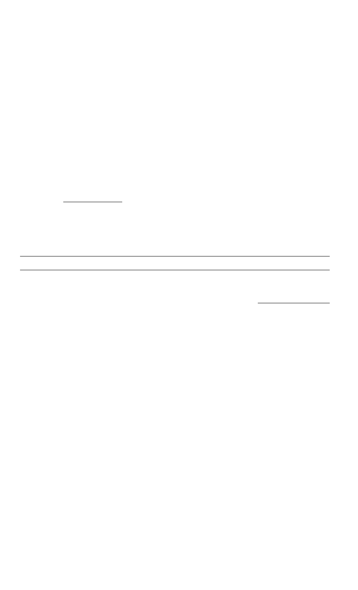| 97. | How likely is it that the government will solve the most important    |
|-----|-----------------------------------------------------------------------|
|     | problem you identified within the next five years? [Read out options] |

## N. QUALITY OF GOVERNANCE

98- 107. Now I am going to read to you a list of statements that describe how people often feel about the state of affairs in [country name]. Please tell me whether you **strongly agree**, **somewhat agree**, **somewhat disagree**, or **strongly disagree** with each of these statements. (**Do not read:** Do not understand the question, Can't choose & Decline to answer ) (SHOWCARD)

|      |                                                                                                                                               | <u>SA</u> | <b>SWA</b>                                    | <b>SWD</b> | <u>SD</u> | <u>DU</u>      | cc | <u>DA</u> |
|------|-----------------------------------------------------------------------------------------------------------------------------------------------|-----------|-----------------------------------------------|------------|-----------|----------------|----|-----------|
| 98.  | People have the power to change a government they don't<br>like. [GBS]                                                                        | 1         | 2                                             | 3          | 4         | $\overline{7}$ | 8  |           |
| 99.  | Political parties or candidates in our country have equal<br>access to the mass media during the election period.                             | 1         | $\overline{2}$                                | 3          | 4         | $\overline{7}$ | 8  | 9         |
| 100. | Between elections, the people have no way of holding the<br>government responsible for its actions.                                           | 1         | $\overline{2}$                                | 3          | 4         | $\overline{7}$ | 8  | 9         |
| 101. | When government leaders break the laws, there is nothing<br>the court can do. (NEW)                                                           | 1         | $\overline{2}$                                | 3          | 4         | $\overline{7}$ | 8  | 9         |
| 102. | Most citizens in our country don't make much effort to<br>influence government decisions. (NEW)                                               | 1         | $\overline{2}$                                | 3          | 4         | 7              | 8  | 9         |
| 103. | All citizens from different ethnic communities in Country X<br>are treated equally by the government. (NEW) [GBS used the<br>original design) | 1         | 2                                             | 3          | 4         | $\overline{7}$ | 8  | 9         |
| 104. | Rich and poor people are treated equally by the government.<br>(NEW)<br><b>[GBS used the original design]</b>                                 | 1         | $\overline{2}$                                | 3          | 4         | $\overline{7}$ | 8  | 9         |
| 105. | People have basic necessities like food, clothes, and shelter.                                                                                | 1         | 2                                             | 3          | 4         | 7              | 8  | 9         |
| 106. | People are free to speak what they think without fear. [GBS]                                                                                  | 1         | $\overline{2}$                                | 3          | 4         | 7              | 8  | 9         |
| 107. | People can join any organization they like without fear. [GBS]                                                                                | 1         | 2                                             | 3          | 4         | $\overline{7}$ | 8  | 9         |
| 108. | Do officials who commit crimes go unpunished? (SHOWCARD)<br>(NEW) [GBS]                                                                       |           | [Do not read] Don't understand the question 7 |            |           |                |    |           |
| 109. | How often do government officials withhold important information<br>from the public view? (SHOWCARD)                                          |           | [Do not read] Don't understand the question7  |            |           |                |    |           |

**[Do not read]** Can't choose..................................8 **[Do not read]** Decline to answer..........................9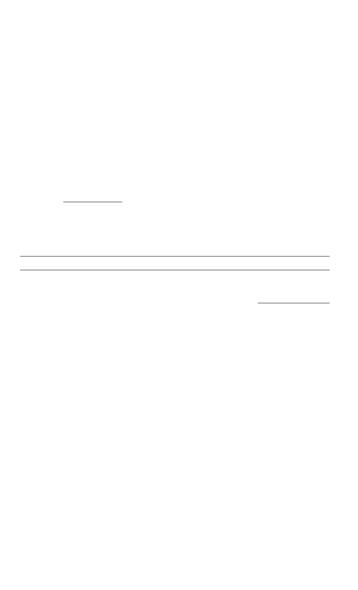| 110. | How often do you think government leaders break the law or abuse<br>their power? (SHOWCARD)(NEW) |                                               |  |
|------|--------------------------------------------------------------------------------------------------|-----------------------------------------------|--|
|      |                                                                                                  |                                               |  |
|      |                                                                                                  |                                               |  |
|      |                                                                                                  | [Do not read] Don't understand the question7  |  |
|      |                                                                                                  |                                               |  |
|      |                                                                                                  |                                               |  |
|      |                                                                                                  |                                               |  |
| 111. | How often do you think our elections offer the voters a real choice                              |                                               |  |
|      | between different parties/candidates? (SHOWCARD)                                                 |                                               |  |
|      |                                                                                                  |                                               |  |
|      |                                                                                                  |                                               |  |
|      |                                                                                                  | [Do not read] Don't understand the question 7 |  |
|      |                                                                                                  |                                               |  |
|      |                                                                                                  |                                               |  |
| 112. | To what extent is the legislature capable of keeping government                                  |                                               |  |
|      | leaders in check? (SHOWCARD) (NEW)                                                               |                                               |  |
|      |                                                                                                  |                                               |  |
|      |                                                                                                  |                                               |  |
|      |                                                                                                  | [Do not read] Don't understand the question 7 |  |
|      |                                                                                                  |                                               |  |
|      |                                                                                                  |                                               |  |
| 113. | How well do you think the government responds to what people want?                               |                                               |  |
|      | (SHOWCARD)                                                                                       |                                               |  |
|      |                                                                                                  |                                               |  |
|      |                                                                                                  |                                               |  |
|      |                                                                                                  | [Do not read] Don't understand the question 7 |  |
|      |                                                                                                  |                                               |  |
|      |                                                                                                  |                                               |  |
|      |                                                                                                  |                                               |  |
| 114. | In your neighborhood or community, do people voice their interests                               |                                               |  |
|      | and concerns in local affairs? (SHOWCARD) (NEW)                                                  |                                               |  |
|      |                                                                                                  |                                               |  |
|      |                                                                                                  |                                               |  |
|      |                                                                                                  | [Do not read] Don't understand the question 7 |  |
|      |                                                                                                  |                                               |  |
|      |                                                                                                  |                                               |  |
| 115. | How much do you feel that having elections makes the government                                  |                                               |  |
|      | pay attention to what the people think? (SHOWCARD) (NEW)                                         |                                               |  |
|      |                                                                                                  |                                               |  |
|      |                                                                                                  |                                               |  |
|      |                                                                                                  | [Do not read] Don't understand the question 7 |  |
|      |                                                                                                  |                                               |  |
|      |                                                                                                  |                                               |  |
| 116. | How widespread do you think corruption and bribe-taking are in your                              |                                               |  |
|      | local/municipal government? Would you say ? (SHOWCARD)                                           |                                               |  |
|      | [GBS]                                                                                            |                                               |  |
|      |                                                                                                  |                                               |  |
|      |                                                                                                  |                                               |  |
|      |                                                                                                  |                                               |  |
|      |                                                                                                  |                                               |  |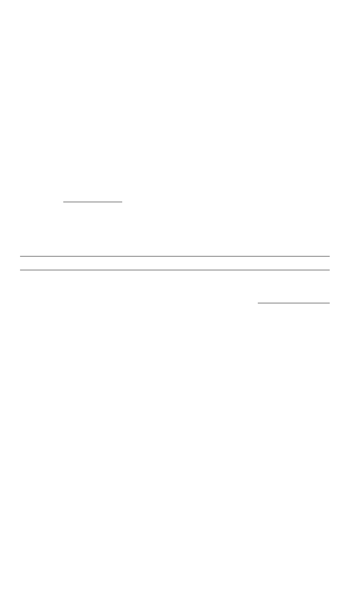117. How widespread do you think corruption and bribe-taking are in the national government **[**in capital city**]**? Would you say …? (SHOWCARD)【**GBS**】

#### 118. In your opinion, is the government working to crack down on corruption and root out bribery? (NEW) [GBS]

119. Have you or anyone you know personally witnessed an act of corruption or bribe-taking by a politician or government official in the past year? IF WITNESSED: Did you personally witness it or were you told about it by a family member or friend who personally witnessed it?

**NOTE :** DO NOT ACCEPT BEING TOLD ABOUT IT BY SOMEONE WHO LEARNED ABOUT AN ACT OF CORRUPTION THROUGH OTHERS OR MASS MEDIA.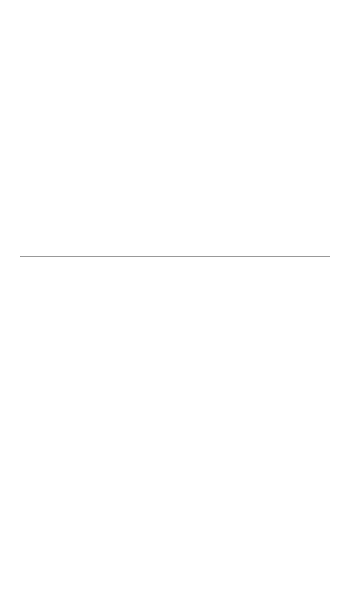#### O. REGIME EVALUATION

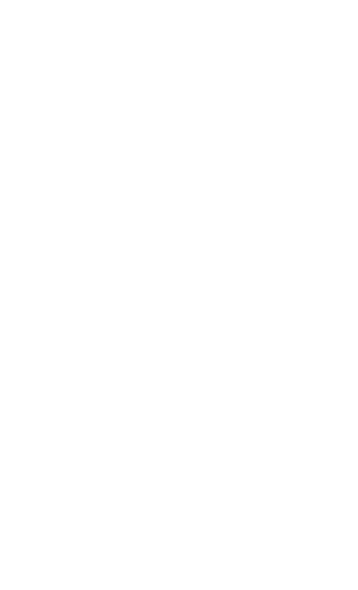## P. DEMOCRATIC LEGITIMACY AND PREFERENCE FOR DEMOCRACY

| 124. | Which of the following statements comes closest to your own opinion? (SHOWCARD) [GBS]          |  |
|------|------------------------------------------------------------------------------------------------|--|
|      |                                                                                                |  |
|      |                                                                                                |  |
|      | For people like me, it does not matter whether we have a democratic or a nondemocratic regime3 |  |
|      |                                                                                                |  |
|      |                                                                                                |  |
|      |                                                                                                |  |

| 125. | Which of the following statements comes closer to your own view? (SHOWCARD) |  |
|------|-----------------------------------------------------------------------------|--|
|      |                                                                             |  |
|      |                                                                             |  |
|      |                                                                             |  |
|      |                                                                             |  |
|      |                                                                             |  |

#### 126. If you had to choose between democracy and economic development, which would you say is more important? (SHOWCARD) **[GBS]**

| [Do not read] They are both equally important material and the content of the state of the state of the state of the state of the state of the state of the state of the state of the state of the state of the state of the s |  |
|--------------------------------------------------------------------------------------------------------------------------------------------------------------------------------------------------------------------------------|--|
|                                                                                                                                                                                                                                |  |
|                                                                                                                                                                                                                                |  |
|                                                                                                                                                                                                                                |  |

#### 127. If you had to choose between reducing economic inequality and protecting political freedom, which would you say is more important? (SHOWCARD) (NEW)

#### 128. Do you agree or disagree with the following statement: "Democracy may have its problems, but it is still the best form of government." (SHOWCARD) (NEW)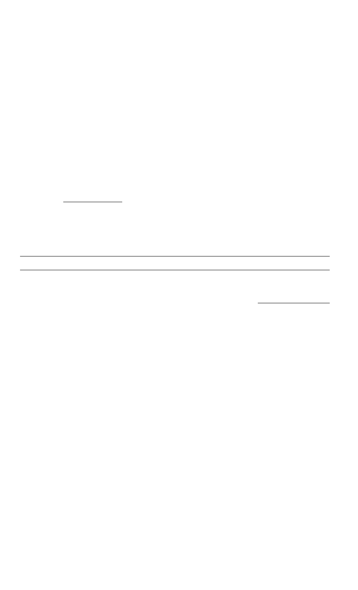#### Q. AGREEMENT/DISAGREEMENT WITH SPECIFIC STATEMENTS

129- There are many ways to govern a country. Would you disapprove or approve of the following alternatives? For each statement, would

132. you say you **strongly approve, approve, disapprove, or strongly disapprove**? (SHOWCARD) (**Do not read:** Do not understand the question, Can't choose & Decline to answer)

#### **DEMOCRATIC LEGITIMACY AND PREFERENCE FOR DEMOCRACY**

| 129. | We should get rid of parliament and elections and have a<br>strong leader decide things. [GBS]                   | SА | SWA<br>2 | <b>SWD</b><br>$\mathbf{r}$ | <u>SD</u><br>4 | DU | <u>cc</u><br>8 | DA<br>9 |
|------|------------------------------------------------------------------------------------------------------------------|----|----------|----------------------------|----------------|----|----------------|---------|
| 130. | Only one political party should be allowed to stand for election<br>and hold office. (NEW)                       |    |          |                            | 4              |    |                |         |
| 131. | The army (military) should come in to govern the country.<br>[ GBS ]                                             |    |          |                            | 4              |    |                |         |
| 132. | We should get rid of elections and parliaments and have<br>experts make decisions on behalf of the people. (NEW) |    |          |                            | $\overline{A}$ |    |                |         |

133- 137. I have here some statements. For each statement, would you say you **strongly agree**, **somewhat agree**, **somewhat disagree**, or **strongly disagree**? (SHOWCARD) (**Do not read:** Do not understand the question, Can't choose & Decline to answer)

|      | CITIZEN EMPOWERMENT AND POLITICAL SUPPORT                                                                                          | SА | <b>SWA</b> | <b>SWD</b> | <u>SD</u> | DU | cc | DA |  |
|------|------------------------------------------------------------------------------------------------------------------------------------|----|------------|------------|-----------|----|----|----|--|
| 133. | I think I have the ability to participate in politics.                                                                             |    |            | 3          | 4         |    | 8  | 9  |  |
| 134. | Sometimes politics and government seems so complicated<br>that a person like me can't really understand what is going on.<br>[GBS] |    |            | 3          | 4         |    | 8  | 9  |  |
| 135. | People like me don't have any influence over what the<br>government does. (NEW)                                                    |    |            | 3          | 4         |    | 8  | 9  |  |
| 136. | You can generally trust the people who run our government to<br>do what is right.                                                  |    |            | 3          | 4         |    | 8  | 9  |  |
| 137. | A citizen should always remain loyal only to his country, no<br>matter how imperfect it is or what wrong it has done.              |    |            | 3          | 4         |    | 8  | 9  |  |

19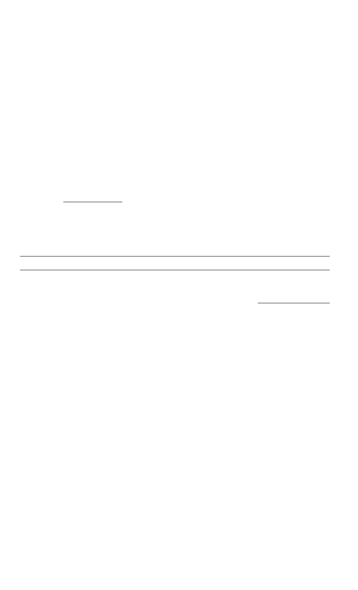# R. AGREEMENT/DISAGREEMENT WITH SPECIFIC STATEMENTS (cont'd)

138- 148.

situation.

I have here other statements. For each statement, would you say you **strongly agree**, **somewhat agree**, **somewhat disagree**, or

**strongly disagree**? (SHOWCARD) (**Do not read:** Do not understand the question, Can't choose & Decline to answer)

|      | <b>AUTHORITARIAN/DEMOCRATIC VALUES</b>                                                                                                        | <b>SA</b> | <b>SWA</b>     | <b>SWD</b> | <b>SD</b> | DU             | cc | DA |
|------|-----------------------------------------------------------------------------------------------------------------------------------------------|-----------|----------------|------------|-----------|----------------|----|----|
| 138. | The government should consult religious authorities when<br>interpreting the laws. (NEW)                                                      |           | $\overline{2}$ | 3          | 4         | 7              | 8  | 9  |
| 139. | Women should not be involved in politics as much as men.<br>(NEW)                                                                             |           | $\overline{2}$ | 3          | 4         | 7              | 8  | 9  |
| 140. | People with little or no education should have as much say in<br>politics as highly-educated people.                                          | 1         | $\overline{2}$ | 3          | 4         | 7              | 8  | 9  |
| 141. | Government leaders are like the head of a family; we should all<br>follow their decisions.                                                    |           | $\overline{2}$ | 3          | 4         | 7              | 8  | 9  |
| 142. | The government should decide whether certain ideas should<br>be allowed to be discussed in society.                                           |           | $\overline{2}$ | 3          | 4         | $\overline{7}$ | 8  | 9  |
| 143. | Harmony of the community will be disrupted if people organize<br>lots of groups.                                                              |           | $\overline{2}$ | 3          | 4         | $\overline{7}$ | 8  | 9  |
| 144. | When judges decide important cases, they should accept the<br>view of the executive branch.                                                   | 1         | $\overline{2}$ | 3          | 4         | $\overline{7}$ | 8  | 9  |
| 145. | If the government is constantly checked [i.e. monitored and<br>supervised] by the legislature, it cannot possibly accomplish<br>great things. |           | $\overline{2}$ | 3          | 4         | $\overline{7}$ | 8  | 9  |
| 146. | If we have political leaders who are morally upright, we can let<br>them decide everything.                                                   |           | $\overline{2}$ | 3          | 4         | $\overline{7}$ | 8  | 9  |
| 147. | If people have too many different ways of thinking, society will<br>be chaotic.                                                               | 1         | $\overline{2}$ | 3          | 4         | $\overline{7}$ | 8  | 9  |
| 148. | When the country is facing a difficult situation, it is ok for the<br>government to disregard the law in order to deal with the               |           | $\overline{2}$ | 3          | 4         | 7              | 8  | 9  |

20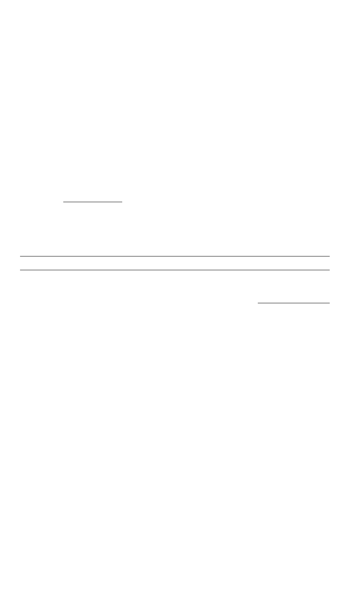## S. GLOBALIZATION

149. How closely do you follow major events in foreign countries / the world?

150. How often do you watch or listen to foreign programs (television, DVDs, movies, radio)? (NEW)

 $151.$ Our country should defend our way of life instead of becoming more and more like other countries. (NEW)

152. Do you agree or disagree with the following statement: "We should protect our farmers and workers by limiting the import of foreign goods." (NEW)

| 153. | Do you agree or disagree with the following statement: "Foreign goods are hurting the local community." (NEW) |  |
|------|---------------------------------------------------------------------------------------------------------------|--|
|      |                                                                                                               |  |
|      |                                                                                                               |  |
|      |                                                                                                               |  |
|      |                                                                                                               |  |
|      |                                                                                                               |  |
|      |                                                                                                               |  |
|      |                                                                                                               |  |
|      |                                                                                                               |  |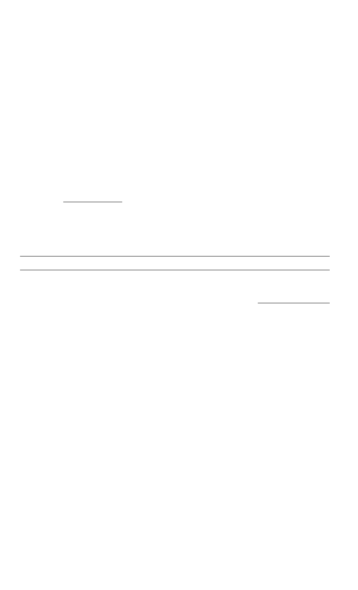### T. CITIZENSHIP

| 154. | How proud are you to be a citizen of (COUNTRY)?                      |                                               |
|------|----------------------------------------------------------------------|-----------------------------------------------|
|      | Are you? [GBS]                                                       |                                               |
|      |                                                                      |                                               |
|      |                                                                      |                                               |
|      |                                                                      | [Do not read] Don't understand the question   |
|      |                                                                      |                                               |
|      |                                                                      |                                               |
|      |                                                                      |                                               |
| 155. | Given the chance, how willing would you be to go and live in another |                                               |
|      | country?                                                             |                                               |
|      |                                                                      |                                               |
|      |                                                                      |                                               |
|      |                                                                      | [Do not read] Don't understand the question 7 |
|      |                                                                      |                                               |
|      |                                                                      |                                               |

#### **U. INTERNATIONAL RELATIONS**

| 156. | Which country has the most influence in Asia? (NEW)             |  |
|------|-----------------------------------------------------------------|--|
|      |                                                                 |  |
|      |                                                                 |  |
|      |                                                                 |  |
|      |                                                                 |  |
|      |                                                                 |  |
|      |                                                                 |  |
|      |                                                                 |  |
|      |                                                                 |  |
|      |                                                                 |  |
| 157. | Does (answer in Q156) do more good or harm to the region? (NEW) |  |
|      |                                                                 |  |
|      |                                                                 |  |
|      |                                                                 |  |
|      |                                                                 |  |
|      |                                                                 |  |
|      |                                                                 |  |
|      |                                                                 |  |

# [NOTE: Ask Q157a if the answer in Q156 is not China, otherwise skip to Q158]

|      | 157a. | Does China do more good or harm to the region? (NEW)                    |  |
|------|-------|-------------------------------------------------------------------------|--|
|      |       |                                                                         |  |
|      |       |                                                                         |  |
|      |       |                                                                         |  |
|      |       |                                                                         |  |
|      |       |                                                                         |  |
|      |       |                                                                         |  |
|      |       |                                                                         |  |
| 158. |       | In ten years, which country will have the most influence in Asia? (NEW) |  |
|      |       |                                                                         |  |
|      |       |                                                                         |  |
|      |       |                                                                         |  |
|      |       |                                                                         |  |
|      |       |                                                                         |  |
|      |       |                                                                         |  |